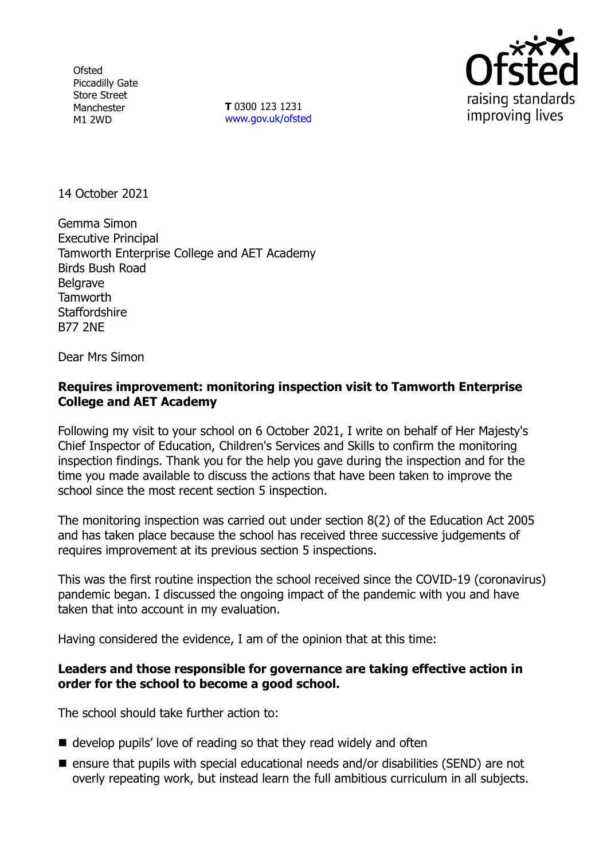**Ofsted** Piccadilly Gate Store Street Manchester M1 2WD

**T** 0300 123 1231 [www.gov.uk/ofsted](http://www.gov.uk/ofsted)



14 October 2021

Gemma Simon Executive Principal Tamworth Enterprise College and AET Academy Birds Bush Road **Belgrave** Tamworth **Staffordshire** B77 2NE

Dear Mrs Simon

## **Requires improvement: monitoring inspection visit to Tamworth Enterprise College and AET Academy**

Following my visit to your school on 6 October 2021, I write on behalf of Her Majesty's Chief Inspector of Education, Children's Services and Skills to confirm the monitoring inspection findings. Thank you for the help you gave during the inspection and for the time you made available to discuss the actions that have been taken to improve the school since the most recent section 5 inspection.

The monitoring inspection was carried out under section 8(2) of the Education Act 2005 and has taken place because the school has received three successive judgements of requires improvement at its previous section 5 inspections.

This was the first routine inspection the school received since the COVID-19 (coronavirus) pandemic began. I discussed the ongoing impact of the pandemic with you and have taken that into account in my evaluation.

Having considered the evidence, I am of the opinion that at this time:

## **Leaders and those responsible for governance are taking effective action in order for the school to become a good school.**

The school should take further action to:

- develop pupils' love of reading so that they read widely and often
- $\blacksquare$  ensure that pupils with special educational needs and/or disabilities (SEND) are not overly repeating work, but instead learn the full ambitious curriculum in all subjects.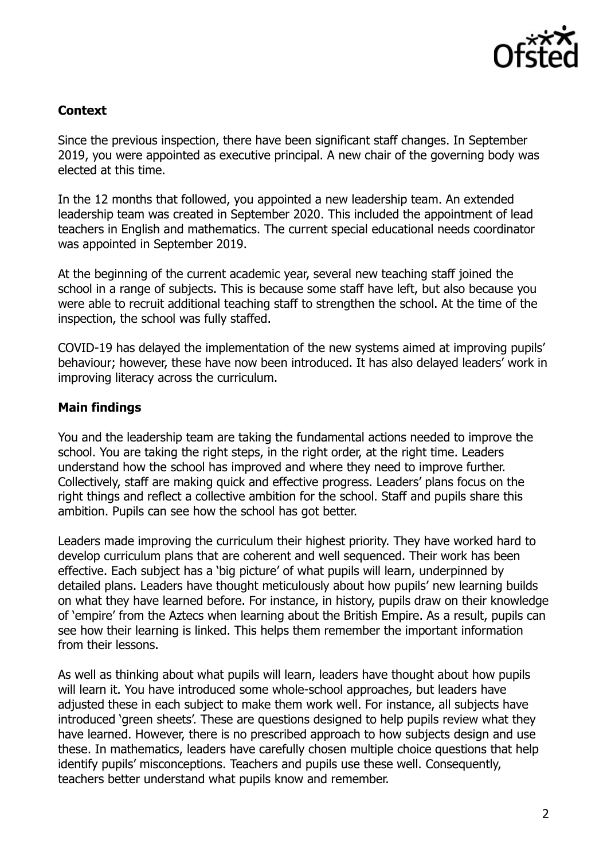

# **Context**

Since the previous inspection, there have been significant staff changes. In September 2019, you were appointed as executive principal. A new chair of the governing body was elected at this time.

In the 12 months that followed, you appointed a new leadership team. An extended leadership team was created in September 2020. This included the appointment of lead teachers in English and mathematics. The current special educational needs coordinator was appointed in September 2019.

At the beginning of the current academic year, several new teaching staff joined the school in a range of subjects. This is because some staff have left, but also because you were able to recruit additional teaching staff to strengthen the school. At the time of the inspection, the school was fully staffed.

COVID-19 has delayed the implementation of the new systems aimed at improving pupils' behaviour; however, these have now been introduced. It has also delayed leaders' work in improving literacy across the curriculum.

## **Main findings**

You and the leadership team are taking the fundamental actions needed to improve the school. You are taking the right steps, in the right order, at the right time. Leaders understand how the school has improved and where they need to improve further. Collectively, staff are making quick and effective progress. Leaders' plans focus on the right things and reflect a collective ambition for the school. Staff and pupils share this ambition. Pupils can see how the school has got better.

Leaders made improving the curriculum their highest priority. They have worked hard to develop curriculum plans that are coherent and well sequenced. Their work has been effective. Each subject has a 'big picture' of what pupils will learn, underpinned by detailed plans. Leaders have thought meticulously about how pupils' new learning builds on what they have learned before. For instance, in history, pupils draw on their knowledge of 'empire' from the Aztecs when learning about the British Empire. As a result, pupils can see how their learning is linked. This helps them remember the important information from their lessons.

As well as thinking about what pupils will learn, leaders have thought about how pupils will learn it. You have introduced some whole-school approaches, but leaders have adjusted these in each subject to make them work well. For instance, all subjects have introduced 'green sheets'. These are questions designed to help pupils review what they have learned. However, there is no prescribed approach to how subjects design and use these. In mathematics, leaders have carefully chosen multiple choice questions that help identify pupils' misconceptions. Teachers and pupils use these well. Consequently, teachers better understand what pupils know and remember.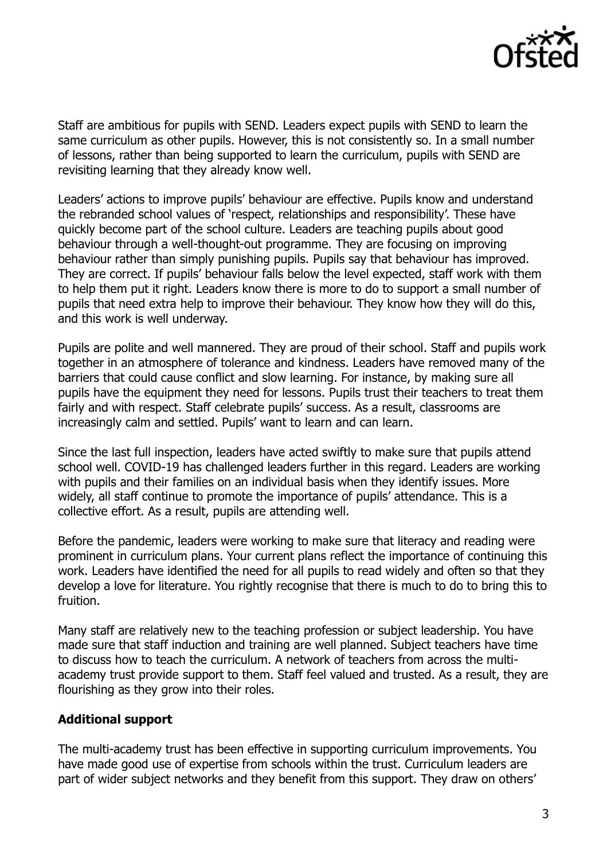

Staff are ambitious for pupils with SEND. Leaders expect pupils with SEND to learn the same curriculum as other pupils. However, this is not consistently so. In a small number of lessons, rather than being supported to learn the curriculum, pupils with SEND are revisiting learning that they already know well.

Leaders' actions to improve pupils' behaviour are effective. Pupils know and understand the rebranded school values of 'respect, relationships and responsibility'. These have quickly become part of the school culture. Leaders are teaching pupils about good behaviour through a well-thought-out programme. They are focusing on improving behaviour rather than simply punishing pupils. Pupils say that behaviour has improved. They are correct. If pupils' behaviour falls below the level expected, staff work with them to help them put it right. Leaders know there is more to do to support a small number of pupils that need extra help to improve their behaviour. They know how they will do this, and this work is well underway.

Pupils are polite and well mannered. They are proud of their school. Staff and pupils work together in an atmosphere of tolerance and kindness. Leaders have removed many of the barriers that could cause conflict and slow learning. For instance, by making sure all pupils have the equipment they need for lessons. Pupils trust their teachers to treat them fairly and with respect. Staff celebrate pupils' success. As a result, classrooms are increasingly calm and settled. Pupils' want to learn and can learn.

Since the last full inspection, leaders have acted swiftly to make sure that pupils attend school well. COVID-19 has challenged leaders further in this regard. Leaders are working with pupils and their families on an individual basis when they identify issues. More widely, all staff continue to promote the importance of pupils' attendance. This is a collective effort. As a result, pupils are attending well.

Before the pandemic, leaders were working to make sure that literacy and reading were prominent in curriculum plans. Your current plans reflect the importance of continuing this work. Leaders have identified the need for all pupils to read widely and often so that they develop a love for literature. You rightly recognise that there is much to do to bring this to fruition.

Many staff are relatively new to the teaching profession or subject leadership. You have made sure that staff induction and training are well planned. Subject teachers have time to discuss how to teach the curriculum. A network of teachers from across the multiacademy trust provide support to them. Staff feel valued and trusted. As a result, they are flourishing as they grow into their roles.

## **Additional support**

The multi-academy trust has been effective in supporting curriculum improvements. You have made good use of expertise from schools within the trust. Curriculum leaders are part of wider subject networks and they benefit from this support. They draw on others'